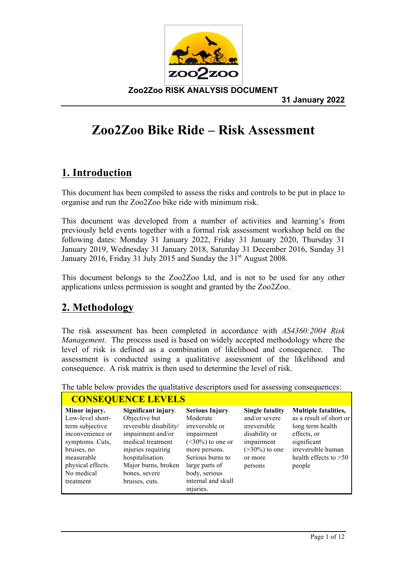

# **Zoo2Zoo Bike Ride – Risk Assessment**

## **1. Introduction**

This document has been compiled to assess the risks and controls to be put in place to organise and run the Zoo2Zoo bike ride with minimum risk.

This document was developed from a number of activities and learning's from previously held events together with a formal risk assessment workshop held on the following dates: Monday 31 January 2022, Friday 31 January 2020, Thursday 31 January 2019, Wednesday 31 January 2018, Saturday 31 December 2016, Sunday 31 January 2016, Friday 31 July 2015 and Sunday the  $31<sup>st</sup>$  August 2008.

This document belongs to the Zoo2Zoo Ltd, and is not to be used for any other applications unless permission is sought and granted by the Zoo2Zoo.

## **2. Methodology**

The risk assessment has been completed in accordance with *AS4360:2004 Risk Management*. The process used is based on widely accepted methodology where the level of risk is defined as a combination of likelihood and consequence. The assessment is conducted using a qualitative assessment of the likelihood and consequence. A risk matrix is then used to determine the level of risk.

| <b>CONSEQUENCE LEVELS</b>                                                                                                                                                |                                                                                                                                                                                                              |                                                                                                                                                                                                |                                                                                                                                  |                                                                                                                                                                     |  |
|--------------------------------------------------------------------------------------------------------------------------------------------------------------------------|--------------------------------------------------------------------------------------------------------------------------------------------------------------------------------------------------------------|------------------------------------------------------------------------------------------------------------------------------------------------------------------------------------------------|----------------------------------------------------------------------------------------------------------------------------------|---------------------------------------------------------------------------------------------------------------------------------------------------------------------|--|
| Minor injury.<br>Low-level short-<br>term subjective<br>inconvenience or<br>symptoms. Cuts,<br>bruises, no<br>measurable<br>physical effects.<br>No medical<br>treatment | Significant injury.<br>Objective but<br>reversible disability/<br>impairment and/or<br>medical treatment<br>injuries requiring<br>hospitalisation.<br>Major burns, broken<br>bones, severe<br>bruises, cuts. | Serious Injury.<br>Moderate<br>irreversible or<br>impairment<br>$(<30\%)$ to one or<br>more persons.<br>Serious burns to<br>large parts of<br>body, serious<br>internal and skull<br>injuries. | <b>Single fatality</b><br>and/or severe<br>irreversible<br>disability or<br>impairment<br>$(>30\%)$ to one<br>or more<br>persons | <b>Multiple fatalities,</b><br>as a result of short or<br>long term health<br>effects, or<br>significant<br>irreversible human<br>health effects to $>50$<br>people |  |

The table below provides the qualitative descriptors used for assessing consequences: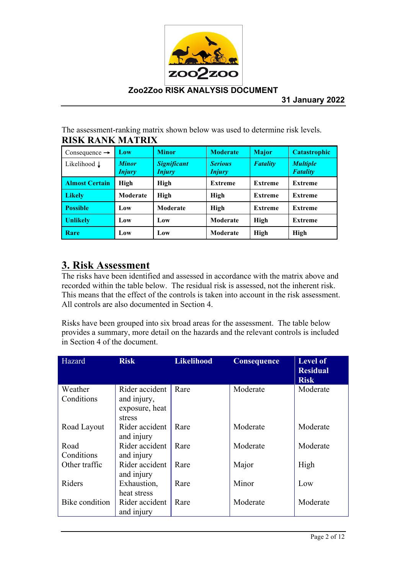

The assessment-ranking matrix shown below was used to determine risk levels. **RISK RANK MATRIX**

| Consequence $\rightarrow$ | Low                           | <b>Minor</b>                        | <b>Moderate</b>                 | <b>Major</b>    | <b>Catastrophic</b>                |
|---------------------------|-------------------------------|-------------------------------------|---------------------------------|-----------------|------------------------------------|
| Likelihood L              | <b>Minor</b><br><b>Injury</b> | <b>Significant</b><br><b>Injury</b> | <b>Serious</b><br><b>Injury</b> | <b>Fatality</b> | <b>Multiple</b><br><b>Fatality</b> |
| <b>Almost Certain</b>     | <b>High</b>                   | High                                | <b>Extreme</b>                  | <b>Extreme</b>  | <b>Extreme</b>                     |
| <b>Likely</b>             | Moderate                      | High                                | High                            | <b>Extreme</b>  | <b>Extreme</b>                     |
| <b>Possible</b>           | Low                           | Moderate                            | High                            | <b>Extreme</b>  | <b>Extreme</b>                     |
| <b>Unlikely</b>           | Low                           | Low                                 | Moderate                        | High            | <b>Extreme</b>                     |
| Rare                      | Low                           | Low                                 | Moderate                        | <b>High</b>     | <b>High</b>                        |

## **3. Risk Assessment**

The risks have been identified and assessed in accordance with the matrix above and recorded within the table below. The residual risk is assessed, not the inherent risk. This means that the effect of the controls is taken into account in the risk assessment. All controls are also documented in Section 4.

Risks have been grouped into six broad areas for the assessment. The table below provides a summary, more detail on the hazards and the relevant controls is included in Section 4 of the document.

| Hazard         | <b>Risk</b>                  | <b>Likelihood</b> | <b>Consequence</b> | <b>Level of</b><br><b>Residual</b><br><b>Risk</b> |
|----------------|------------------------------|-------------------|--------------------|---------------------------------------------------|
| Weather        | Rider accident               | Rare              | Moderate           | Moderate                                          |
| Conditions     | and injury,                  |                   |                    |                                                   |
|                | exposure, heat               |                   |                    |                                                   |
|                | stress                       |                   |                    |                                                   |
| Road Layout    | Rider accident<br>and injury | Rare              | Moderate           | Moderate                                          |
| Road           | Rider accident               | Rare              | Moderate           | Moderate                                          |
| Conditions     | and injury                   |                   |                    |                                                   |
| Other traffic  | Rider accident               | Rare              | Major              | High                                              |
|                | and injury                   |                   |                    |                                                   |
| Riders         | Exhaustion,                  | Rare              | Minor              | Low                                               |
|                | heat stress                  |                   |                    |                                                   |
| Bike condition | Rider accident               | Rare              | Moderate           | Moderate                                          |
|                | and injury                   |                   |                    |                                                   |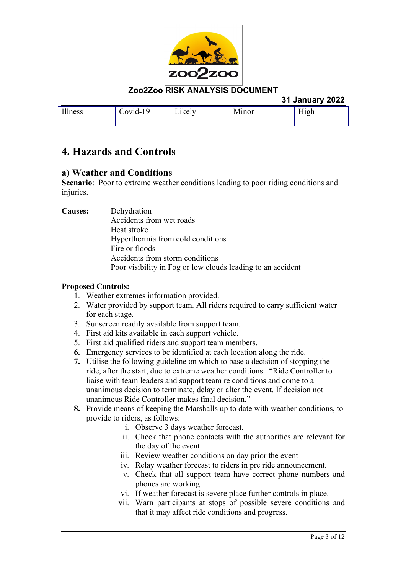

|         |          |        |       | 31 January 2022 |
|---------|----------|--------|-------|-----------------|
| Illness | Covid-19 | Likely | Minor | High            |

## **4. Hazards and Controls**

## **a) Weather and Conditions**

**Scenario**: Poor to extreme weather conditions leading to poor riding conditions and injuries.

**Causes:** Dehydration

Accidents from wet roads Heat stroke Hyperthermia from cold conditions Fire or floods Accidents from storm conditions Poor visibility in Fog or low clouds leading to an accident

- 1. Weather extremes information provided.
- 2. Water provided by support team. All riders required to carry sufficient water for each stage.
- 3. Sunscreen readily available from support team.
- 4. First aid kits available in each support vehicle.
- 5. First aid qualified riders and support team members.
- **6.** Emergency services to be identified at each location along the ride.
- **7.** Utilise the following guideline on which to base a decision of stopping the ride, after the start, due to extreme weather conditions. "Ride Controller to liaise with team leaders and support team re conditions and come to a unanimous decision to terminate, delay or alter the event. If decision not unanimous Ride Controller makes final decision."
- **8.** Provide means of keeping the Marshalls up to date with weather conditions, to provide to riders, as follows:
	- i. Observe 3 days weather forecast.
	- ii. Check that phone contacts with the authorities are relevant for the day of the event.
	- iii. Review weather conditions on day prior the event
	- iv. Relay weather forecast to riders in pre ride announcement.
	- v. Check that all support team have correct phone numbers and phones are working.
	- vi. If weather forecast is severe place further controls in place.
	- vii. Warn participants at stops of possible severe conditions and that it may affect ride conditions and progress.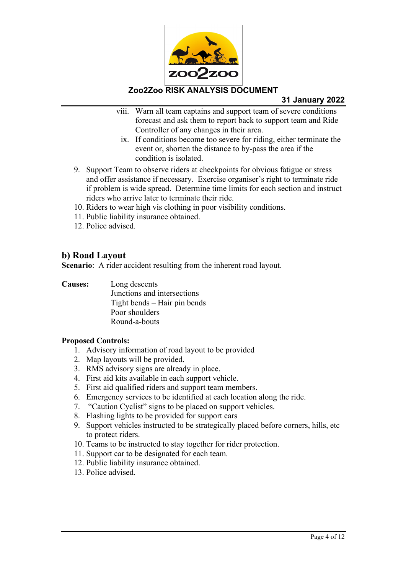

## **31 January 2022**

- viii. Warn all team captains and support team of severe conditions forecast and ask them to report back to support team and Ride Controller of any changes in their area.
	- ix. If conditions become too severe for riding, either terminate the event or, shorten the distance to by-pass the area if the condition is isolated.
- 9. Support Team to observe riders at checkpoints for obvious fatigue or stress and offer assistance if necessary. Exercise organiser's right to terminate ride if problem is wide spread. Determine time limits for each section and instruct riders who arrive later to terminate their ride.
- 10. Riders to wear high vis clothing in poor visibility conditions.
- 11. Public liability insurance obtained.
- 12. Police advised.

## **b) Road Layout**

**Scenario:** A rider accident resulting from the inherent road layout.

**Causes:** Long descents Junctions and intersections Tight bends – Hair pin bends Poor shoulders Round-a-bouts

- 1. Advisory information of road layout to be provided
- 2. Map layouts will be provided.
- 3. RMS advisory signs are already in place.
- 4. First aid kits available in each support vehicle.
- 5. First aid qualified riders and support team members.
- 6. Emergency services to be identified at each location along the ride.
- 7. "Caution Cyclist" signs to be placed on support vehicles.
- 8. Flashing lights to be provided for support cars
- 9. Support vehicles instructed to be strategically placed before corners, hills, etc to protect riders.
- 10. Teams to be instructed to stay together for rider protection.
- 11. Support car to be designated for each team.
- 12. Public liability insurance obtained.
- 13. Police advised.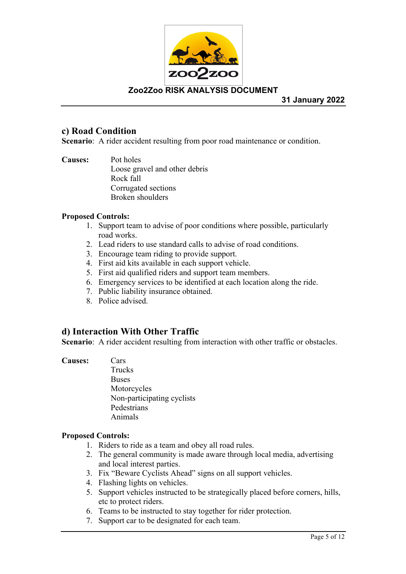

**31 January 2022**

## **c) Road Condition**

**Scenario**: A rider accident resulting from poor road maintenance or condition.

**Causes:** Pot holes Loose gravel and other debris Rock fall Corrugated sections Broken shoulders

## **Proposed Controls:**

- 1. Support team to advise of poor conditions where possible, particularly road works.
- 2. Lead riders to use standard calls to advise of road conditions.
- 3. Encourage team riding to provide support.
- 4. First aid kits available in each support vehicle.
- 5. First aid qualified riders and support team members.
- 6. Emergency services to be identified at each location along the ride.
- 7. Public liability insurance obtained.
- 8. Police advised.

## **d) Interaction With Other Traffic**

**Scenario**: A rider accident resulting from interaction with other traffic or obstacles.

#### **Causes:** Cars

Trucks **Buses** Motorcycles Non-participating cyclists Pedestrians Animals

- 1. Riders to ride as a team and obey all road rules.
- 2. The general community is made aware through local media, advertising and local interest parties.
- 3. Fix "Beware Cyclists Ahead" signs on all support vehicles.
- 4. Flashing lights on vehicles.
- 5. Support vehicles instructed to be strategically placed before corners, hills, etc to protect riders.
- 6. Teams to be instructed to stay together for rider protection.
- 7. Support car to be designated for each team.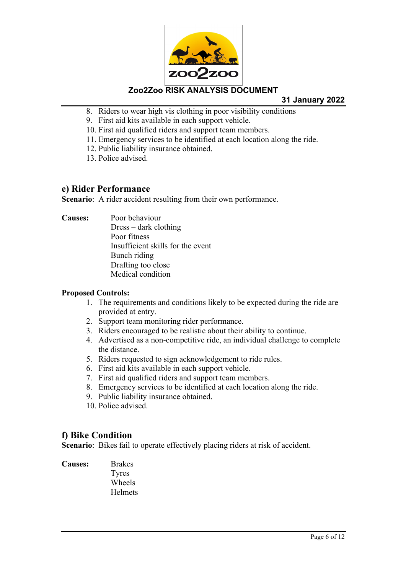

**31 January 2022**

- 8. Riders to wear high vis clothing in poor visibility conditions
- 9. First aid kits available in each support vehicle.
- 10. First aid qualified riders and support team members.
- 11. Emergency services to be identified at each location along the ride.
- 12. Public liability insurance obtained.
- 13. Police advised.

### **e) Rider Performance**

**Scenario**: A rider accident resulting from their own performance.

**Causes:** Poor behaviour Dress – dark clothing Poor fitness Insufficient skills for the event Bunch riding Drafting too close Medical condition

### **Proposed Controls:**

- 1. The requirements and conditions likely to be expected during the ride are provided at entry.
- 2. Support team monitoring rider performance.
- 3. Riders encouraged to be realistic about their ability to continue.
- 4. Advertised as a non-competitive ride, an individual challenge to complete the distance.
- 5. Riders requested to sign acknowledgement to ride rules.
- 6. First aid kits available in each support vehicle.
- 7. First aid qualified riders and support team members.
- 8. Emergency services to be identified at each location along the ride.
- 9. Public liability insurance obtained.
- 10. Police advised.

## **f) Bike Condition**

**Scenario**: Bikes fail to operate effectively placing riders at risk of accident.

**Causes:** Brakes Tyres Wheels **Helmets**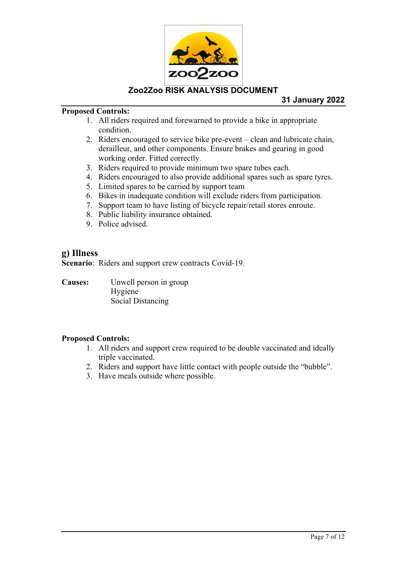

## **Proposed Controls:**

- 1. All riders required and forewarned to provide a bike in appropriate condition.
- 2. Riders encouraged to service bike pre-event clean and lubricate chain, derailleur, and other components. Ensure brakes and gearing in good working order. Fitted correctly.
- 3. Riders required to provide minimum two spare tubes each.
- 4. Riders encouraged to also provide additional spares such as spare tyres.
- 5. Limited spares to be carried by support team
- 6. Bikes in inadequate condition will exclude riders from participation.
- 7. Support team to have listing of bicycle repair/retail stores enroute.
- 8. Public liability insurance obtained.
- 9. Police advised.

## **g) Illness**

**Scenario**: Riders and support crew contracts Covid-19.

**Causes:** Unwell person in group Hygiene Social Distancing

- 1. All riders and support crew required to be double vaccinated and ideally triple vaccinated.
- 2. Riders and support have little contact with people outside the "bubble".
- 3. Have meals outside where possible.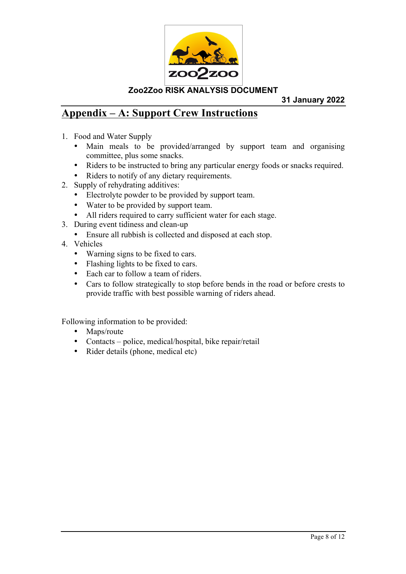

**31 January 2022**

## **Appendix – A: Support Crew Instructions**

- 1. Food and Water Supply
	- Main meals to be provided/arranged by support team and organising committee, plus some snacks.
	- Riders to be instructed to bring any particular energy foods or snacks required.
	- Riders to notify of any dietary requirements.
- 2. Supply of rehydrating additives:
	- Electrolyte powder to be provided by support team.
	- Water to be provided by support team.
	- All riders required to carry sufficient water for each stage.
- 3. During event tidiness and clean-up
	- Ensure all rubbish is collected and disposed at each stop.
- 4. Vehicles
	- Warning signs to be fixed to cars.
	- Flashing lights to be fixed to cars.
	- Each car to follow a team of riders.
	- Cars to follow strategically to stop before bends in the road or before crests to provide traffic with best possible warning of riders ahead.

Following information to be provided:

- Maps/route
- Contacts police, medical/hospital, bike repair/retail
- Rider details (phone, medical etc)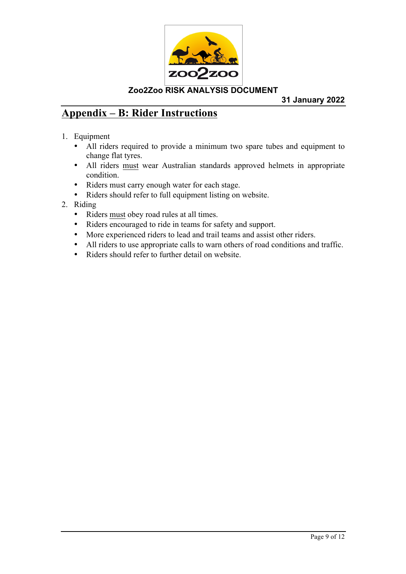

**31 January 2022**

## **Appendix – B: Rider Instructions**

- 1. Equipment
	- All riders required to provide a minimum two spare tubes and equipment to change flat tyres.
	- All riders must wear Australian standards approved helmets in appropriate condition.
	- Riders must carry enough water for each stage.
	- Riders should refer to full equipment listing on website.
- 2. Riding
	- Riders must obey road rules at all times.
	- Riders encouraged to ride in teams for safety and support.
	- More experienced riders to lead and trail teams and assist other riders.
	- All riders to use appropriate calls to warn others of road conditions and traffic.
	- Riders should refer to further detail on website.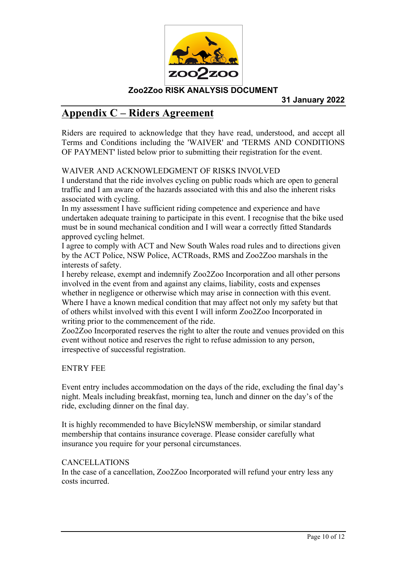

## **Appendix C – Riders Agreement**

Riders are required to acknowledge that they have read, understood, and accept all Terms and Conditions including the 'WAIVER' and 'TERMS AND CONDITIONS OF PAYMENT' listed below prior to submitting their registration for the event.

## WAIVER AND ACKNOWLEDGMENT OF RISKS INVOLVED

I understand that the ride involves cycling on public roads which are open to general traffic and I am aware of the hazards associated with this and also the inherent risks associated with cycling.

In my assessment I have sufficient riding competence and experience and have undertaken adequate training to participate in this event. I recognise that the bike used must be in sound mechanical condition and I will wear a correctly fitted Standards approved cycling helmet.

I agree to comply with ACT and New South Wales road rules and to directions given by the ACT Police, NSW Police, ACTRoads, RMS and Zoo2Zoo marshals in the interests of safety.

I hereby release, exempt and indemnify Zoo2Zoo Incorporation and all other persons involved in the event from and against any claims, liability, costs and expenses whether in negligence or otherwise which may arise in connection with this event. Where I have a known medical condition that may affect not only my safety but that of others whilst involved with this event I will inform Zoo2Zoo Incorporated in writing prior to the commencement of the ride.

Zoo2Zoo Incorporated reserves the right to alter the route and venues provided on this event without notice and reserves the right to refuse admission to any person, irrespective of successful registration.

ENTRY FEE

Event entry includes accommodation on the days of the ride, excluding the final day's night. Meals including breakfast, morning tea, lunch and dinner on the day's of the ride, excluding dinner on the final day.

It is highly recommended to have BicyleNSW membership, or similar standard membership that contains insurance coverage. Please consider carefully what insurance you require for your personal circumstances.

### CANCELLATIONS

In the case of a cancellation, Zoo2Zoo Incorporated will refund your entry less any costs incurred.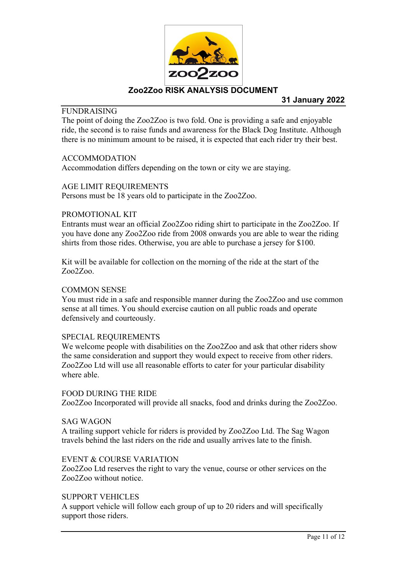

## **FUNDRAISING**

The point of doing the Zoo2Zoo is two fold. One is providing a safe and enjoyable ride, the second is to raise funds and awareness for the Black Dog Institute. Although there is no minimum amount to be raised, it is expected that each rider try their best.

#### ACCOMMODATION

Accommodation differs depending on the town or city we are staying.

#### AGE LIMIT REQUIREMENTS

Persons must be 18 years old to participate in the Zoo2Zoo.

### PROMOTIONAL KIT

Entrants must wear an official Zoo2Zoo riding shirt to participate in the Zoo2Zoo. If you have done any Zoo2Zoo ride from 2008 onwards you are able to wear the riding shirts from those rides. Otherwise, you are able to purchase a jersey for \$100.

Kit will be available for collection on the morning of the ride at the start of the Zoo2Zoo.

#### COMMON SENSE

You must ride in a safe and responsible manner during the Zoo2Zoo and use common sense at all times. You should exercise caution on all public roads and operate defensively and courteously.

#### SPECIAL REQUIREMENTS

We welcome people with disabilities on the Zoo2Zoo and ask that other riders show the same consideration and support they would expect to receive from other riders. Zoo2Zoo Ltd will use all reasonable efforts to cater for your particular disability where able.

### FOOD DURING THE RIDE

Zoo2Zoo Incorporated will provide all snacks, food and drinks during the Zoo2Zoo.

#### SAG WAGON

A trailing support vehicle for riders is provided by Zoo2Zoo Ltd. The Sag Wagon travels behind the last riders on the ride and usually arrives late to the finish.

#### EVENT & COURSE VARIATION

Zoo2Zoo Ltd reserves the right to vary the venue, course or other services on the Zoo2Zoo without notice.

#### SUPPORT VEHICLES

A support vehicle will follow each group of up to 20 riders and will specifically support those riders.